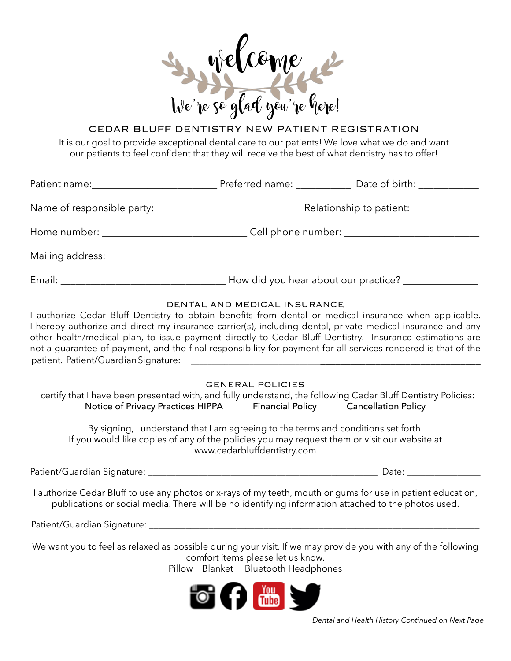

# CEDAR BLUFF DENTISTRY NEW PATIENT REGISTRATION

It is our goal to provide exceptional dental care to our patients! We love what we do and want our patients to feel confident that they will receive the best of what dentistry has to offer!

|                                                                                                                                                                                                                                | Preferred name: _____________ Date of birth: _____________ |
|--------------------------------------------------------------------------------------------------------------------------------------------------------------------------------------------------------------------------------|------------------------------------------------------------|
|                                                                                                                                                                                                                                | Relationship to patient: ____________                      |
|                                                                                                                                                                                                                                | Cell phone number: _________________________               |
|                                                                                                                                                                                                                                |                                                            |
| Email: Email: All and the state of the state of the state of the state of the state of the state of the state of the state of the state of the state of the state of the state of the state of the state of the state of the s | How did you hear about our practice? _______________       |

## DENTAL AND MEDICAL INSURANCE

I authorize Cedar Bluff Dentistry to obtain benefits from dental or medical insurance when applicable. I hereby authorize and direct my insurance carrier(s), including dental, private medical insurance and any other health/medical plan, to issue payment directly to Cedar Bluff Dentistry. Insurance estimations are not a guarantee of payment, and the final responsibility for payment for all services rendered is that of the patient. Patient/Guardian Signature:

GENERAL POLICIES

| I certify that I have been presented with, and fully understand, the following Cedar Bluff Dentistry Policies: |                         |                            |  |
|----------------------------------------------------------------------------------------------------------------|-------------------------|----------------------------|--|
| Notice of Privacy Practices HIPPA                                                                              | <b>Financial Policy</b> | <b>Cancellation Policy</b> |  |

By signing, I understand that I am agreeing to the terms and conditions set forth. If you would like copies of any of the policies you may request them or visit our website at www.cedarbluffdentistry.com

Patient/Guardian Signature: \_\_\_\_\_\_\_\_\_\_\_\_\_\_\_\_\_\_\_\_\_\_\_\_\_\_\_\_\_\_\_\_\_\_\_\_\_\_\_\_\_\_\_\_\_\_\_\_\_\_ Date: \_\_\_\_\_\_\_\_\_\_\_\_\_\_\_\_

I authorize Cedar Bluff to use any photos or x-rays of my teeth, mouth or gums for use in patient education, publications or social media. There will be no identifying information attached to the photos used.

Patient/Guardian Signature:

We want you to feel as relaxed as possible during your visit. If we may provide you with any of the following comfort items please let us know.

Pillow Blanket Bluetooth Headphones